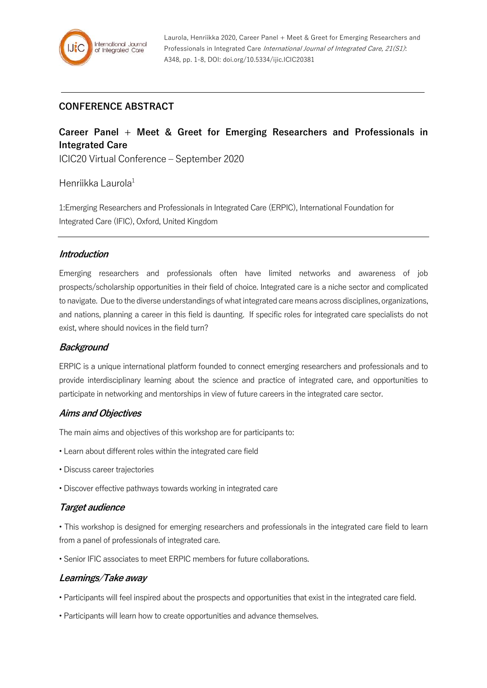# **CONFERENCE ABSTRACT**

# **Career Panel + Meet & Greet for Emerging Researchers and Professionals in Integrated Care**

ICIC20 Virtual Conference – September 2020

## Henriikka Laurola $1$

1:Emerging Researchers and Professionals in Integrated Care (ERPIC), International Foundation for Integrated Care (IFIC), Oxford, United Kingdom

### **Introduction**

Emerging researchers and professionals often have limited networks and awareness of job prospects/scholarship opportunities in their field of choice. Integrated care is a niche sector and complicated to navigate. Due to the diverse understandings of what integrated care means across disciplines, organizations, and nations, planning a career in this field is daunting. If specific roles for integrated care specialists do not exist, where should novices in the field turn?

### **Background**

ERPIC is a unique international platform founded to connect emerging researchers and professionals and to provide interdisciplinary learning about the science and practice of integrated care, and opportunities to participate in networking and mentorships in view of future careers in the integrated care sector.

### **Aims and Objectives**

The main aims and objectives of this workshop are for participants to:

- Learn about different roles within the integrated care field
- Discuss career trajectories
- Discover effective pathways towards working in integrated care

### **Target audience**

• This workshop is designed for emerging researchers and professionals in the integrated care field to learn from a panel of professionals of integrated care.

• Senior IFIC associates to meet ERPIC members for future collaborations.

### **Learnings/Take away**

• Participants will feel inspired about the prospects and opportunities that exist in the integrated care field.

• Participants will learn how to create opportunities and advance themselves.